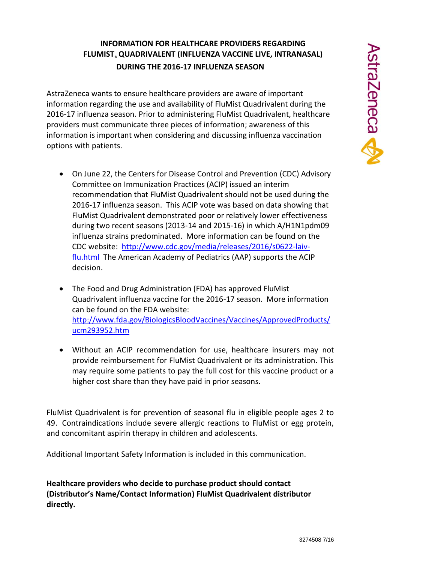## **INFORMATION FOR HEALTHCARE PROVIDERS REGARDING FLUMIST® QUADRIVALENT (INFLUENZA VACCINE LIVE, INTRANASAL) DURING THE 2016-17 INFLUENZA SEASON**

AstraZeneca wants to ensure healthcare providers are aware of important information regarding the use and availability of FluMist Quadrivalent during the 2016-17 influenza season. Prior to administering FluMist Quadrivalent, healthcare providers must communicate three pieces of information; awareness of this information is important when considering and discussing influenza vaccination options with patients.

- On June 22, the Centers for Disease Control and Prevention (CDC) Advisory Committee on Immunization Practices (ACIP) issued an interim recommendation that FluMist Quadrivalent should not be used during the 2016-17 influenza season. This ACIP vote was based on data showing that FluMist Quadrivalent demonstrated poor or relatively lower effectiveness during two recent seasons (2013-14 and 2015-16) in which A/H1N1pdm09 influenza strains predominated. More information can be found on the CDC website: [http://www.cdc.gov/media/releases/2016/s0622-laiv](http://www.cdc.gov/media/releases/2016/s0622-laiv-flu.html)[flu.html](http://www.cdc.gov/media/releases/2016/s0622-laiv-flu.html) The American Academy of Pediatrics (AAP) supports the ACIP decision.
- The Food and Drug Administration (FDA) has approved FluMist Quadrivalent influenza vaccine for the 2016-17 season. More information can be found on the FDA website: [http://www.fda.gov/BiologicsBloodVaccines/Vaccines/ApprovedProducts/](http://www.fda.gov/BiologicsBloodVaccines/Vaccines/ApprovedProducts/ucm293952.htm) [ucm293952.htm](http://www.fda.gov/BiologicsBloodVaccines/Vaccines/ApprovedProducts/ucm293952.htm)
- Without an ACIP recommendation for use, healthcare insurers may not provide reimbursement for FluMist Quadrivalent or its administration. This may require some patients to pay the full cost for this vaccine product or a higher cost share than they have paid in prior seasons.

FluMist Quadrivalent is for prevention of seasonal flu in eligible people ages 2 to 49. Contraindications include severe allergic reactions to FluMist or egg protein, and concomitant aspirin therapy in children and adolescents.

Additional Important Safety Information is included in this communication.

**Healthcare providers who decide to purchase product should contact (Distributor's Name/Contact Information) FluMist Quadrivalent distributor directly.**